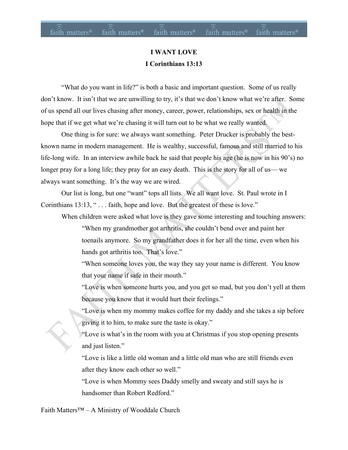#### **I WANT LOVE I Corinthians 13:13**

"What do you want in life?" is both a basic and important question. Some of us really don't know. It isn't that we are unwilling to try, it's that we don't know what we're after. Some of us spend all our lives chasing after money, career, power, relationships, sex or health in the hope that if we get what we're chasing it will turn out to be what we really wanted.

One thing is for sure: we always want something. Peter Drucker is probably the bestknown name in modern management. He is wealthy, successful, famous and still married to his life-long wife. In an interview awhile back he said that people his age (he is now in his 90's) no longer pray for a long life; they pray for an easy death. This is the story for all of us— we always want something. It's the way we are wired.

Our list is long, but one "want" tops all lists. We all want love. St. Paul wrote in I Corinthians 13:13, " . . . faith, hope and love. But the greatest of these is love."

When children were asked what love is they gave some interesting and touching answers:

"When my grandmother got arthritis, she couldn't bend over and paint her toenails anymore. So my grandfather does it for her all the time, even when his hands got arthritis too. That's love."

"When someone loves you, the way they say your name is different. You know that your name if safe in their mouth."

"Love is when someone hurts you, and you get so mad, but you don't yell at them because you know that it would hurt their feelings."

"Love is when my mommy makes coffee for my daddy and she takes a sip before giving it to him, to make sure the taste is okay."

"Love is what's in the room with you at Christmas if you stop opening presents and just listen."

"Love is like a little old woman and a little old man who are still friends even after they know each other so well."

"Love is when Mommy sees Daddy smelly and sweaty and still says he is handsomer than Robert Redford."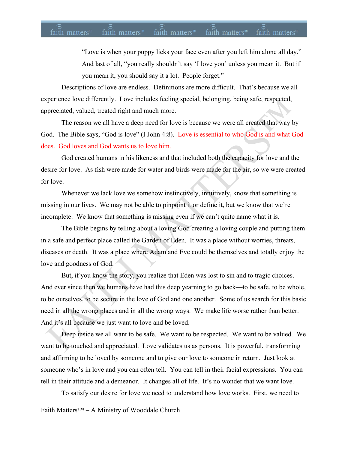"Love is when your puppy licks your face even after you left him alone all day." And last of all, "you really shouldn't say 'I love you' unless you mean it. But if you mean it, you should say it a lot. People forget."

Descriptions of love are endless. Definitions are more difficult. That's because we all experience love differently. Love includes feeling special, belonging, being safe, respected, appreciated, valued, treated right and much more.

The reason we all have a deep need for love is because we were all created that way by God. The Bible says, "God is love" (I John 4:8). Love is essential to who God is and what God does. God loves and God wants us to love him.

God created humans in his likeness and that included both the capacity for love and the desire for love. As fish were made for water and birds were made for the air, so we were created for love.

Whenever we lack love we somehow instinctively, intuitively, know that something is missing in our lives. We may not be able to pinpoint it or define it, but we know that we're incomplete. We know that something is missing even if we can't quite name what it is.

The Bible begins by telling about a loving God creating a loving couple and putting them in a safe and perfect place called the Garden of Eden. It was a place without worries, threats, diseases or death. It was a place where Adam and Eve could be themselves and totally enjoy the love and goodness of God.

But, if you know the story, you realize that Eden was lost to sin and to tragic choices. And ever since then we humans have had this deep yearning to go back—to be safe, to be whole, to be ourselves, to be secure in the love of God and one another. Some of us search for this basic need in all the wrong places and in all the wrong ways. We make life worse rather than better. And it's all because we just want to love and be loved.

Deep inside we all want to be safe. We want to be respected. We want to be valued. We want to be touched and appreciated. Love validates us as persons. It is powerful, transforming and affirming to be loved by someone and to give our love to someone in return. Just look at someone who's in love and you can often tell. You can tell in their facial expressions. You can tell in their attitude and a demeanor. It changes all of life. It's no wonder that we want love.

To satisfy our desire for love we need to understand how love works. First, we need to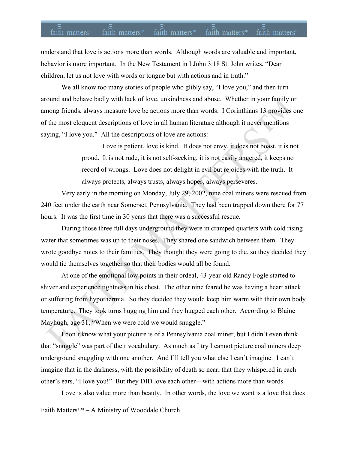# faith matters® faith matters® faith matters® faith matters® faith matters®

understand that love is actions more than words. Although words are valuable and important, behavior is more important. In the New Testament in I John 3:18 St. John writes, "Dear children, let us not love with words or tongue but with actions and in truth."

We all know too many stories of people who glibly say, "I love you," and then turn around and behave badly with lack of love, unkindness and abuse. Whether in your family or among friends, always measure love be actions more than words. I Corinthians 13 provides one of the most eloquent descriptions of love in all human literature although it never mentions saying, "I love you." All the descriptions of love are actions:

> Love is patient, love is kind. It does not envy, it does not boast, it is not proud. It is not rude, it is not self-seeking, it is not easily angered, it keeps no record of wrongs. Love does not delight in evil but rejoices with the truth. It always protects, always trusts, always hopes, always perseveres.

Very early in the morning on Monday, July 29, 2002, nine coal miners were rescued from 240 feet under the earth near Somerset, Pennsylvania. They had been trapped down there for 77 hours. It was the first time in 30 years that there was a successful rescue.

During those three full days underground they were in cramped quarters with cold rising water that sometimes was up to their noses. They shared one sandwich between them. They wrote goodbye notes to their families. They thought they were going to die, so they decided they would tie themselves together so that their bodies would all be found.

At one of the emotional low points in their ordeal, 43-year-old Randy Fogle started to shiver and experience tightness in his chest. The other nine feared he was having a heart attack or suffering from hypothermia. So they decided they would keep him warm with their own body temperature. They took turns hugging him and they hugged each other. According to Blaine Mayhugh, age 31, "When we were cold we would snuggle."

I don't know what your picture is of a Pennsylvania coal miner, but I didn't even think that "snuggle" was part of their vocabulary. As much as I try I cannot picture coal miners deep underground snuggling with one another. And I'll tell you what else I can't imagine. I can't imagine that in the darkness, with the possibility of death so near, that they whispered in each other's ears, "I love you!" But they DID love each other—with actions more than words.

Love is also value more than beauty. In other words, the love we want is a love that does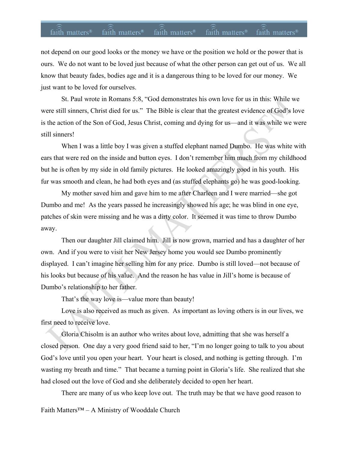# faith matters® faith matters® faith matters® faith matters® faith matters®

not depend on our good looks or the money we have or the position we hold or the power that is ours. We do not want to be loved just because of what the other person can get out of us. We all know that beauty fades, bodies age and it is a dangerous thing to be loved for our money. We just want to be loved for ourselves.

St. Paul wrote in Romans 5:8, "God demonstrates his own love for us in this: While we were still sinners, Christ died for us." The Bible is clear that the greatest evidence of God's love is the action of the Son of God, Jesus Christ, coming and dying for us—and it was while we were still sinners!

When I was a little boy I was given a stuffed elephant named Dumbo. He was white with ears that were red on the inside and button eyes. I don't remember him much from my childhood but he is often by my side in old family pictures. He looked amazingly good in his youth. His fur was smooth and clean, he had both eyes and (as stuffed elephants go) he was good-looking.

My mother saved him and gave him to me after Charleen and I were married—she got Dumbo and me! As the years passed he increasingly showed his age; he was blind in one eye, patches of skin were missing and he was a dirty color. It seemed it was time to throw Dumbo away.

Then our daughter Jill claimed him. Jill is now grown, married and has a daughter of her own. And if you were to visit her New Jersey home you would see Dumbo prominently displayed. I can't imagine her selling him for any price. Dumbo is still loved—not because of his looks but because of his value. And the reason he has value in Jill's home is because of Dumbo's relationship to her father.

That's the way love is—value more than beauty!

Love is also received as much as given. As important as loving others is in our lives, we first need to receive love.

Gloria Chisolm is an author who writes about love, admitting that she was herself a closed person. One day a very good friend said to her, "I'm no longer going to talk to you about God's love until you open your heart. Your heart is closed, and nothing is getting through. I'm wasting my breath and time." That became a turning point in Gloria's life. She realized that she had closed out the love of God and she deliberately decided to open her heart.

There are many of us who keep love out. The truth may be that we have good reason to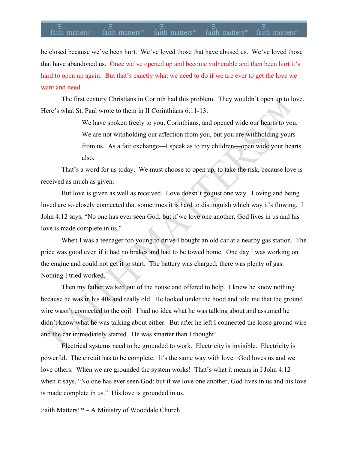### faith matters<sup>®</sup> faith matters<sup>®</sup> faith matters<sup>®</sup> faith matters<sup>®</sup> faith matters<sup>®</sup>

be closed because we've been hurt. We've loved those that have abused us. We've loved those that have abandoned us. Once we've opened up and become vulnerable and then been hurt it's hard to open up again. But that's exactly what we need to do if we are ever to get the love we want and need.

The first century Christians in Corinth had this problem. They wouldn't open up to love. Here's what St. Paul wrote to them in II Corinthians 6:11-13:

> We have spoken freely to you, Corinthians, and opened wide our hearts to you. We are not withholding our affection from you, but you are withholding yours from us. As a fair exchange—I speak as to my children—open wide your hearts also.

That's a word for us today. We must choose to open up, to take the risk, because love is received as much as given.

But love is given as well as received. Love doesn't go just one way. Loving and being loved are so closely connected that sometimes it is hard to distinguish which way it's flowing. I John 4:12 says, "No one has ever seen God; but if we love one another, God lives in us and his love is made complete in us."

When I was a teenager too young to drive I bought an old car at a nearby gas station. The price was good even if it had no brakes and had to be towed home. One day I was working on the engine and could not get it to start. The battery was charged; there was plenty of gas. Nothing I tried worked.

Then my father walked out of the house and offered to help. I knew he knew nothing because he was in his 40s and really old. He looked under the hood and told me that the ground wire wasn't connected to the coil. I had no idea what he was talking about and assumed he didn't know what he was talking about either. But after he left I connected the loose ground wire and the car immediately started. He was smarter than I thought!

Electrical systems need to be grounded to work. Electricity is invisible. Electricity is powerful. The circuit has to be complete. It's the same way with love. God loves us and we love others. When we are grounded the system works! That's what it means in I John 4:12 when it says, "No one has ever seen God; but if we love one another, God lives in us and his love is made complete in us." His love is grounded in us.